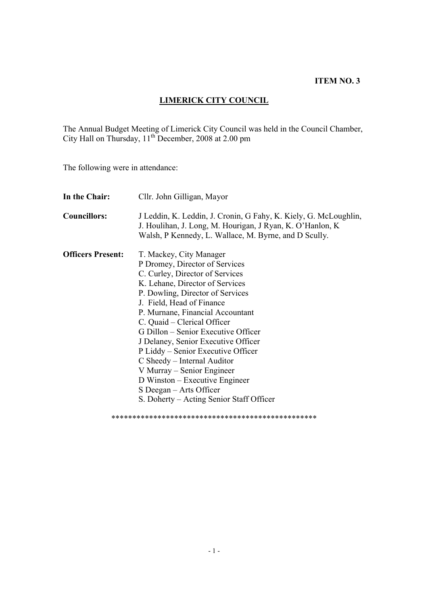#### **ITEM NO. 3**

# **LIMERICK CITY COUNCIL**

The Annual Budget Meeting of Limerick City Council was held in the Council Chamber, City Hall on Thursday,  $11^{th}$  December, 2008 at 2.00 pm

The following were in attendance:

| In the Chair:            | Cllr. John Gilligan, Mayor                                                                                                                                                                                                                                                                                                                                                                                                                                                                                                                                    |
|--------------------------|---------------------------------------------------------------------------------------------------------------------------------------------------------------------------------------------------------------------------------------------------------------------------------------------------------------------------------------------------------------------------------------------------------------------------------------------------------------------------------------------------------------------------------------------------------------|
| <b>Councillors:</b>      | J Leddin, K. Leddin, J. Cronin, G Fahy, K. Kiely, G. McLoughlin,<br>J. Houlihan, J. Long, M. Hourigan, J Ryan, K. O'Hanlon, K.<br>Walsh, P Kennedy, L. Wallace, M. Byrne, and D Scully.                                                                                                                                                                                                                                                                                                                                                                       |
| <b>Officers Present:</b> | T. Mackey, City Manager<br>P Dromey, Director of Services<br>C. Curley, Director of Services<br>K. Lehane, Director of Services<br>P. Dowling, Director of Services<br>J. Field, Head of Finance<br>P. Murnane, Financial Accountant<br>C. Quaid – Clerical Officer<br>G Dillon – Senior Executive Officer<br>J Delaney, Senior Executive Officer<br>P Liddy – Senior Executive Officer<br>C Sheedy – Internal Auditor<br>V Murray – Senior Engineer<br>D Winston – Executive Engineer<br>S Deegan – Arts Officer<br>S. Doherty – Acting Senior Staff Officer |
|                          |                                                                                                                                                                                                                                                                                                                                                                                                                                                                                                                                                               |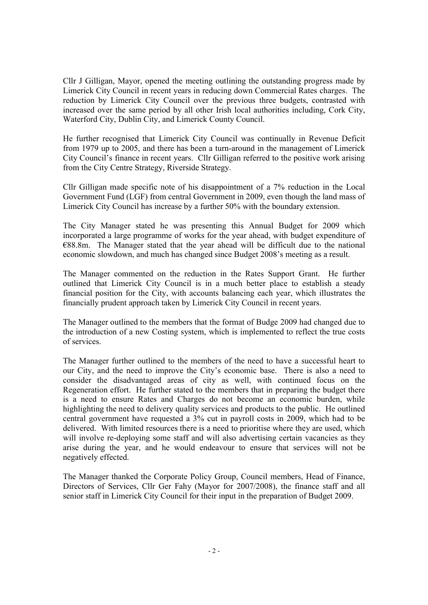Cllr J Gilligan, Mayor, opened the meeting outlining the outstanding progress made by Limerick City Council in recent years in reducing down Commercial Rates charges. The reduction by Limerick City Council over the previous three budgets, contrasted with increased over the same period by all other Irish local authorities including, Cork City, Waterford City, Dublin City, and Limerick County Council.

He further recognised that Limerick City Council was continually in Revenue Deficit from 1979 up to 2005, and there has been a turn-around in the management of Limerick City Council's finance in recent years. Cllr Gilligan referred to the positive work arising from the City Centre Strategy, Riverside Strategy.

Cllr Gilligan made specific note of his disappointment of a 7% reduction in the Local Government Fund (LGF) from central Government in 2009, even though the land mass of Limerick City Council has increase by a further 50% with the boundary extension.

The City Manager stated he was presenting this Annual Budget for 2009 which incorporated a large programme of works for the year ahead, with budget expenditure of €88.8m. The Manager stated that the year ahead will be difficult due to the national economic slowdown, and much has changed since Budget 2008's meeting as a result.

The Manager commented on the reduction in the Rates Support Grant. He further outlined that Limerick City Council is in a much better place to establish a steady financial position for the City, with accounts balancing each year, which illustrates the financially prudent approach taken by Limerick City Council in recent years.

The Manager outlined to the members that the format of Budge 2009 had changed due to the introduction of a new Costing system, which is implemented to reflect the true costs of services.

The Manager further outlined to the members of the need to have a successful heart to our City, and the need to improve the City's economic base. There is also a need to consider the disadvantaged areas of city as well, with continued focus on the Regeneration effort. He further stated to the members that in preparing the budget there is a need to ensure Rates and Charges do not become an economic burden, while highlighting the need to delivery quality services and products to the public. He outlined central government have requested a 3% cut in payroll costs in 2009, which had to be delivered. With limited resources there is a need to prioritise where they are used, which will involve re-deploying some staff and will also advertising certain vacancies as they arise during the year, and he would endeavour to ensure that services will not be negatively effected.

The Manager thanked the Corporate Policy Group, Council members, Head of Finance, Directors of Services, Cllr Ger Fahy (Mayor for 2007/2008), the finance staff and all senior staff in Limerick City Council for their input in the preparation of Budget 2009.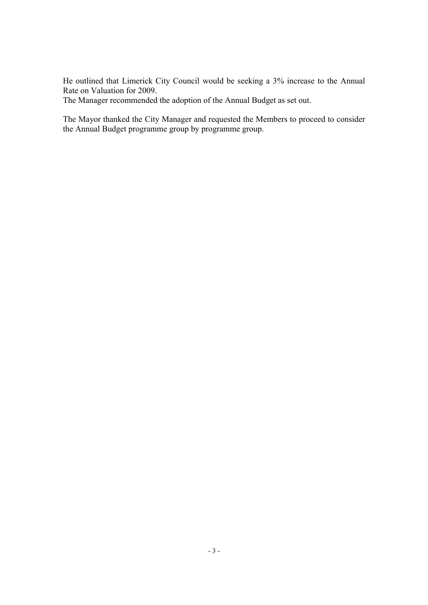He outlined that Limerick City Council would be seeking a 3% increase to the Annual Rate on Valuation for 2009.

The Manager recommended the adoption of the Annual Budget as set out.

The Mayor thanked the City Manager and requested the Members to proceed to consider the Annual Budget programme group by programme group.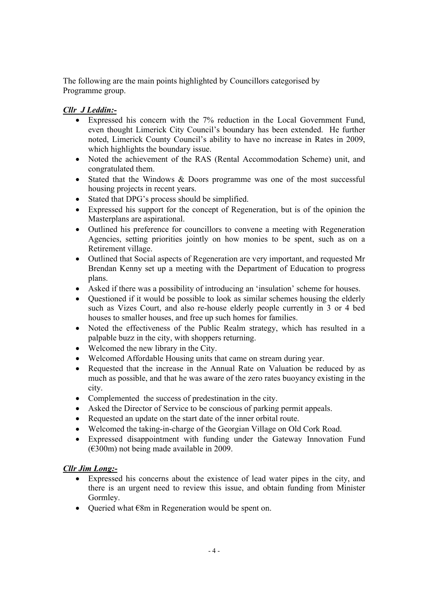The following are the main points highlighted by Councillors categorised by Programme group.

### *Cllr J Leddin:-*

- Expressed his concern with the 7% reduction in the Local Government Fund, even thought Limerick City Council's boundary has been extended. He further noted, Limerick County Council's ability to have no increase in Rates in 2009, which highlights the boundary issue.
- Noted the achievement of the RAS (Rental Accommodation Scheme) unit, and congratulated them.
- Stated that the Windows & Doors programme was one of the most successful housing projects in recent years.
- Stated that DPG's process should be simplified.
- Expressed his support for the concept of Regeneration, but is of the opinion the Masterplans are aspirational.
- Outlined his preference for councillors to convene a meeting with Regeneration Agencies, setting priorities jointly on how monies to be spent, such as on a Retirement village.
- Outlined that Social aspects of Regeneration are very important, and requested Mr Brendan Kenny set up a meeting with the Department of Education to progress plans.
- Asked if there was a possibility of introducing an 'insulation' scheme for houses.
- Ouestioned if it would be possible to look as similar schemes housing the elderly such as Vizes Court, and also re-house elderly people currently in 3 or 4 bed houses to smaller houses, and free up such homes for families.
- Noted the effectiveness of the Public Realm strategy, which has resulted in a palpable buzz in the city, with shoppers returning.
- Welcomed the new library in the City.
- Welcomed Affordable Housing units that came on stream during year.
- Requested that the increase in the Annual Rate on Valuation be reduced by as much as possible, and that he was aware of the zero rates buoyancy existing in the city.
- Complemented the success of predestination in the city.
- Asked the Director of Service to be conscious of parking permit appeals.
- Requested an update on the start date of the inner orbital route.
- Welcomed the taking-in-charge of the Georgian Village on Old Cork Road.
- Expressed disappointment with funding under the Gateway Innovation Fund (€300m) not being made available in 2009.

### *Cllr Jim Long:-*

- Expressed his concerns about the existence of lead water pipes in the city, and there is an urgent need to review this issue, and obtain funding from Minister Gormley.
- Oueried what  $\epsilon$ 8m in Regeneration would be spent on.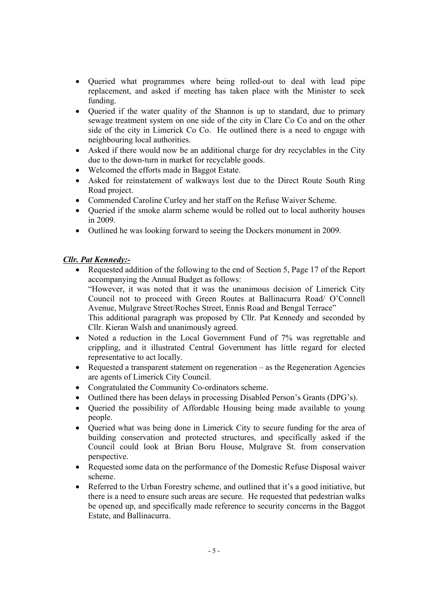- Queried what programmes where being rolled-out to deal with lead pipe replacement, and asked if meeting has taken place with the Minister to seek funding.
- Oueried if the water quality of the Shannon is up to standard, due to primary sewage treatment system on one side of the city in Clare Co Co and on the other side of the city in Limerick Co Co. He outlined there is a need to engage with neighbouring local authorities.
- Asked if there would now be an additional charge for dry recyclables in the City due to the down-turn in market for recyclable goods.
- Welcomed the efforts made in Baggot Estate.
- Asked for reinstatement of walkways lost due to the Direct Route South Ring Road project.
- Commended Caroline Curley and her staff on the Refuse Waiver Scheme.
- Oueried if the smoke alarm scheme would be rolled out to local authority houses in 2009.
- Outlined he was looking forward to seeing the Dockers monument in 2009.

#### *Cllr. Pat Kennedy:-*

- Requested addition of the following to the end of Section 5, Page 17 of the Report accompanying the Annual Budget as follows: "However, it was noted that it was the unanimous decision of Limerick City Council not to proceed with Green Routes at Ballinacurra Road/ O'Connell Avenue, Mulgrave Street/Roches Street, Ennis Road and Bengal Terrace" This additional paragraph was proposed by Cllr. Pat Kennedy and seconded by Cllr. Kieran Walsh and unanimously agreed.
- Noted a reduction in the Local Government Fund of 7% was regrettable and crippling, and it illustrated Central Government has little regard for elected representative to act locally.
- Requested a transparent statement on regeneration as the Regeneration Agencies are agents of Limerick City Council.
- Congratulated the Community Co-ordinators scheme.
- Outlined there has been delays in processing Disabled Person's Grants (DPG's).
- Queried the possibility of Affordable Housing being made available to young people.
- Queried what was being done in Limerick City to secure funding for the area of building conservation and protected structures, and specifically asked if the Council could look at Brian Boru House, Mulgrave St. from conservation perspective.
- Requested some data on the performance of the Domestic Refuse Disposal waiver scheme.
- Referred to the Urban Forestry scheme, and outlined that it's a good initiative, but there is a need to ensure such areas are secure. He requested that pedestrian walks be opened up, and specifically made reference to security concerns in the Baggot Estate, and Ballinacurra.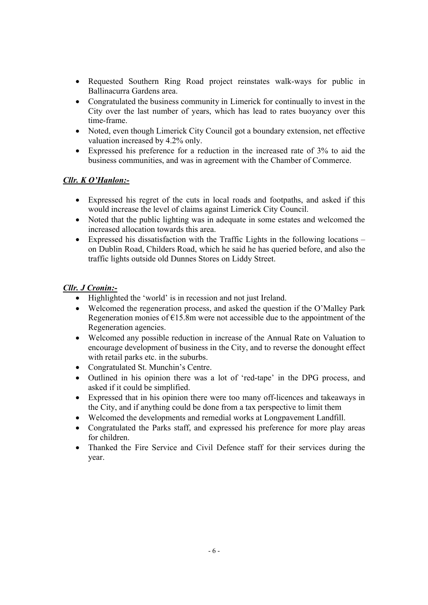- Requested Southern Ring Road project reinstates walk-ways for public in Ballinacurra Gardens area.
- Congratulated the business community in Limerick for continually to invest in the City over the last number of years, which has lead to rates buoyancy over this time-frame.
- Noted, even though Limerick City Council got a boundary extension, net effective valuation increased by 4.2% only.
- Expressed his preference for a reduction in the increased rate of 3% to aid the business communities, and was in agreement with the Chamber of Commerce.

### *Cllr. K O'Hanlon:-*

- Expressed his regret of the cuts in local roads and footpaths, and asked if this would increase the level of claims against Limerick City Council.
- Noted that the public lighting was in adequate in some estates and welcomed the increased allocation towards this area.
- Expressed his dissatisfaction with the Traffic Lights in the following locations on Dublin Road, Childers Road, which he said he has queried before, and also the traffic lights outside old Dunnes Stores on Liddy Street.

### *Cllr. J Cronin:-*

- Highlighted the 'world' is in recession and not just Ireland.
- Welcomed the regeneration process, and asked the question if the O'Malley Park Regeneration monies of  $E15.8m$  were not accessible due to the appointment of the Regeneration agencies.
- Welcomed any possible reduction in increase of the Annual Rate on Valuation to encourage development of business in the City, and to reverse the donought effect with retail parks etc. in the suburbs.
- Congratulated St. Munchin's Centre.
- Outlined in his opinion there was a lot of 'red-tape' in the DPG process, and asked if it could be simplified.
- Expressed that in his opinion there were too many off-licences and takeaways in the City, and if anything could be done from a tax perspective to limit them
- Welcomed the developments and remedial works at Longpavement Landfill.
- Congratulated the Parks staff, and expressed his preference for more play areas for children.
- Thanked the Fire Service and Civil Defence staff for their services during the year.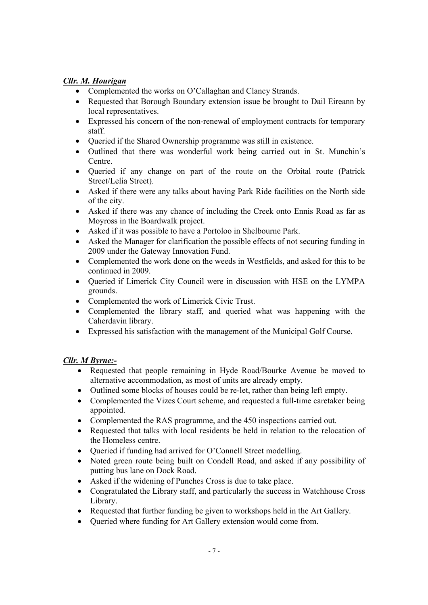### *Cllr. M. Hourigan*

- Complemented the works on O'Callaghan and Clancy Strands.
- Requested that Borough Boundary extension issue be brought to Dail Eireann by local representatives.
- Expressed his concern of the non-renewal of employment contracts for temporary staff.
- Queried if the Shared Ownership programme was still in existence.
- Outlined that there was wonderful work being carried out in St. Munchin's Centre.
- Oueried if any change on part of the route on the Orbital route (Patrick Street/Lelia Street).
- Asked if there were any talks about having Park Ride facilities on the North side of the city.
- Asked if there was any chance of including the Creek onto Ennis Road as far as Moyross in the Boardwalk project.
- Asked if it was possible to have a Portoloo in Shelbourne Park.
- Asked the Manager for clarification the possible effects of not securing funding in 2009 under the Gateway Innovation Fund.
- Complemented the work done on the weeds in Westfields, and asked for this to be continued in 2009.
- Queried if Limerick City Council were in discussion with HSE on the LYMPA grounds.
- Complemented the work of Limerick Civic Trust.
- Complemented the library staff, and queried what was happening with the Caherdavin library.
- Expressed his satisfaction with the management of the Municipal Golf Course.

## *Cllr. M Byrne:-*

- Requested that people remaining in Hyde Road/Bourke Avenue be moved to alternative accommodation, as most of units are already empty.
- Outlined some blocks of houses could be re-let, rather than being left empty.
- Complemented the Vizes Court scheme, and requested a full-time caretaker being appointed.
- Complemented the RAS programme, and the 450 inspections carried out.
- Requested that talks with local residents be held in relation to the relocation of the Homeless centre.
- Queried if funding had arrived for O'Connell Street modelling.
- Noted green route being built on Condell Road, and asked if any possibility of putting bus lane on Dock Road.
- Asked if the widening of Punches Cross is due to take place.
- Congratulated the Library staff, and particularly the success in Watchhouse Cross Library.
- Requested that further funding be given to workshops held in the Art Gallery.
- Queried where funding for Art Gallery extension would come from.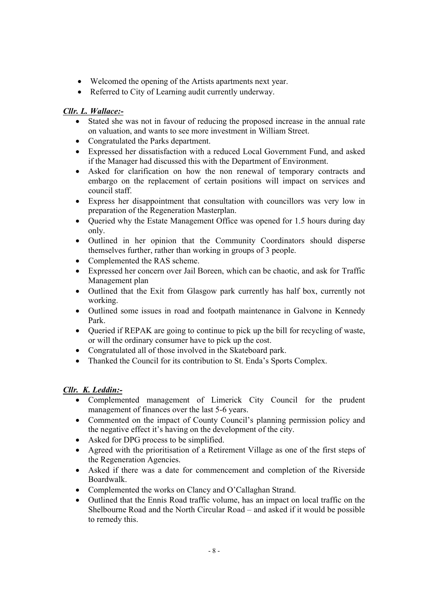- Welcomed the opening of the Artists apartments next year.
- Referred to City of Learning audit currently underway.

### *Cllr. L. Wallace:-*

- Stated she was not in favour of reducing the proposed increase in the annual rate on valuation, and wants to see more investment in William Street.
- Congratulated the Parks department.
- Expressed her dissatisfaction with a reduced Local Government Fund, and asked if the Manager had discussed this with the Department of Environment.
- Asked for clarification on how the non renewal of temporary contracts and embargo on the replacement of certain positions will impact on services and council staff.
- Express her disappointment that consultation with councillors was very low in preparation of the Regeneration Masterplan.
- Oueried why the Estate Management Office was opened for 1.5 hours during day only.
- Outlined in her opinion that the Community Coordinators should disperse themselves further, rather than working in groups of 3 people.
- Complemented the RAS scheme.
- Expressed her concern over Jail Boreen, which can be chaotic, and ask for Traffic Management plan
- Outlined that the Exit from Glasgow park currently has half box, currently not working.
- Outlined some issues in road and footpath maintenance in Galvone in Kennedy Park.
- Queried if REPAK are going to continue to pick up the bill for recycling of waste, or will the ordinary consumer have to pick up the cost.
- Congratulated all of those involved in the Skateboard park.
- Thanked the Council for its contribution to St. Enda's Sports Complex.

## *Cllr. K. Leddin:-*

- Complemented management of Limerick City Council for the prudent management of finances over the last 5-6 years.
- Commented on the impact of County Council's planning permission policy and the negative effect it's having on the development of the city.
- Asked for DPG process to be simplified.
- Agreed with the prioritisation of a Retirement Village as one of the first steps of the Regeneration Agencies.
- Asked if there was a date for commencement and completion of the Riverside Boardwalk.
- Complemented the works on Clancy and O'Callaghan Strand.
- Outlined that the Ennis Road traffic volume, has an impact on local traffic on the Shelbourne Road and the North Circular Road – and asked if it would be possible to remedy this.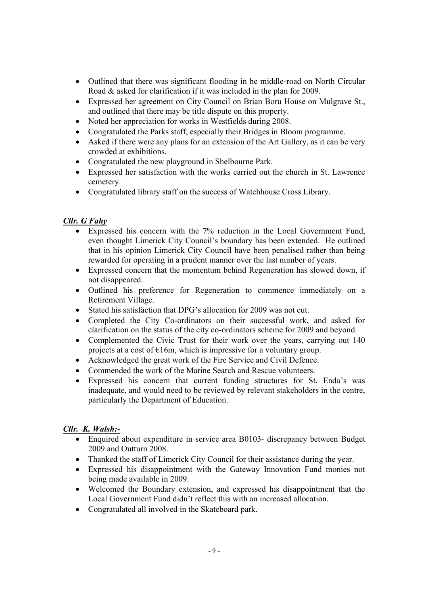- Outlined that there was significant flooding in he middle-road on North Circular Road & asked for clarification if it was included in the plan for 2009.
- Expressed her agreement on City Council on Brian Boru House on Mulgrave St., and outlined that there may be title dispute on this property.
- Noted her appreciation for works in Westfields during 2008.
- Congratulated the Parks staff, especially their Bridges in Bloom programme.
- Asked if there were any plans for an extension of the Art Gallery, as it can be very crowded at exhibitions.
- Congratulated the new playground in Shelbourne Park.
- Expressed her satisfaction with the works carried out the church in St. Lawrence cemetery.
- Congratulated library staff on the success of Watchhouse Cross Library.

### *Cllr. G Fahy*

- Expressed his concern with the 7% reduction in the Local Government Fund, even thought Limerick City Council's boundary has been extended. He outlined that in his opinion Limerick City Council have been penalised rather than being rewarded for operating in a prudent manner over the last number of years.
- Expressed concern that the momentum behind Regeneration has slowed down, if not disappeared.
- Outlined his preference for Regeneration to commence immediately on a Retirement Village.
- Stated his satisfaction that DPG's allocation for 2009 was not cut.
- Completed the City Co-ordinators on their successful work, and asked for clarification on the status of the city co-ordinators scheme for 2009 and beyond.
- Complemented the Civic Trust for their work over the years, carrying out 140 projects at a cost of  $E16m$ , which is impressive for a voluntary group.
- Acknowledged the great work of the Fire Service and Civil Defence.
- Commended the work of the Marine Search and Rescue volunteers.
- Expressed his concern that current funding structures for St. Enda's was inadequate, and would need to be reviewed by relevant stakeholders in the centre, particularly the Department of Education.

### *Cllr. K. Walsh:-*

- Enquired about expenditure in service area B0103- discrepancy between Budget 2009 and Outturn 2008.
- Thanked the staff of Limerick City Council for their assistance during the year.
- Expressed his disappointment with the Gateway Innovation Fund monies not being made available in 2009.
- Welcomed the Boundary extension, and expressed his disappointment that the Local Government Fund didn't reflect this with an increased allocation.
- Congratulated all involved in the Skateboard park.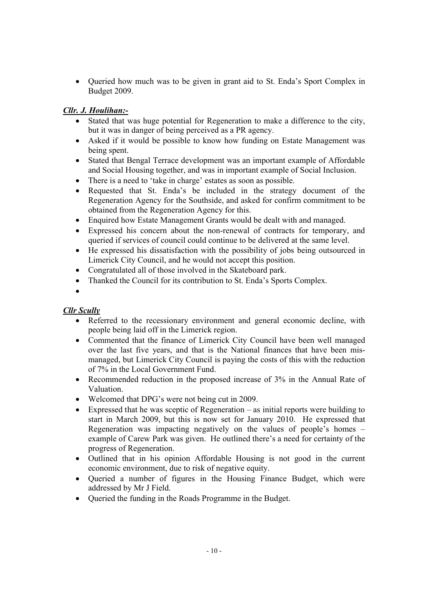• Queried how much was to be given in grant aid to St. Enda's Sport Complex in Budget 2009.

### *Cllr. J. Houlihan:-*

- Stated that was huge potential for Regeneration to make a difference to the city, but it was in danger of being perceived as a PR agency.
- Asked if it would be possible to know how funding on Estate Management was being spent.
- Stated that Bengal Terrace development was an important example of Affordable and Social Housing together, and was in important example of Social Inclusion.
- There is a need to 'take in charge' estates as soon as possible.
- Requested that St. Enda's be included in the strategy document of the Regeneration Agency for the Southside, and asked for confirm commitment to be obtained from the Regeneration Agency for this.
- Enquired how Estate Management Grants would be dealt with and managed.
- Expressed his concern about the non-renewal of contracts for temporary, and queried if services of council could continue to be delivered at the same level.
- He expressed his dissatisfaction with the possibility of jobs being outsourced in Limerick City Council, and he would not accept this position.
- Congratulated all of those involved in the Skateboard park.
- Thanked the Council for its contribution to St. Enda's Sports Complex.
- $\bullet$

### *Cllr Scully*

- Referred to the recessionary environment and general economic decline, with people being laid off in the Limerick region.
- Commented that the finance of Limerick City Council have been well managed over the last five years, and that is the National finances that have been mismanaged, but Limerick City Council is paying the costs of this with the reduction of 7% in the Local Government Fund.
- Recommended reduction in the proposed increase of 3% in the Annual Rate of Valuation.
- Welcomed that DPG's were not being cut in 2009.
- Expressed that he was sceptic of Regeneration as initial reports were building to start in March 2009, but this is now set for January 2010. He expressed that Regeneration was impacting negatively on the values of people's homes – example of Carew Park was given. He outlined there's a need for certainty of the progress of Regeneration.
- Outlined that in his opinion Affordable Housing is not good in the current economic environment, due to risk of negative equity.
- Oueried a number of figures in the Housing Finance Budget, which were addressed by Mr J Field.
- Oueried the funding in the Roads Programme in the Budget.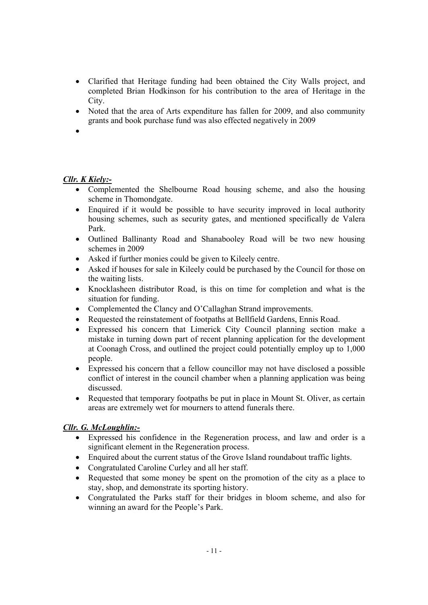- Clarified that Heritage funding had been obtained the City Walls project, and completed Brian Hodkinson for his contribution to the area of Heritage in the City.
- Noted that the area of Arts expenditure has fallen for 2009, and also community grants and book purchase fund was also effected negatively in 2009
- $\bullet$

### *Cllr. K Kiely:-*

- Complemented the Shelbourne Road housing scheme, and also the housing scheme in Thomondgate.
- Enquired if it would be possible to have security improved in local authority housing schemes, such as security gates, and mentioned specifically de Valera Park.
- Outlined Ballinanty Road and Shanabooley Road will be two new housing schemes in 2009
- Asked if further monies could be given to Kileely centre.
- Asked if houses for sale in Kileely could be purchased by the Council for those on the waiting lists.
- Knocklasheen distributor Road, is this on time for completion and what is the situation for funding.
- Complemented the Clancy and O'Callaghan Strand improvements.
- Requested the reinstatement of footpaths at Bellfield Gardens, Ennis Road.
- Expressed his concern that Limerick City Council planning section make a mistake in turning down part of recent planning application for the development at Coonagh Cross, and outlined the project could potentially employ up to 1,000 people.
- Expressed his concern that a fellow councillor may not have disclosed a possible conflict of interest in the council chamber when a planning application was being discussed.
- Requested that temporary footpaths be put in place in Mount St. Oliver, as certain areas are extremely wet for mourners to attend funerals there.

### *Cllr. G. McLoughlin:-*

- Expressed his confidence in the Regeneration process, and law and order is a significant element in the Regeneration process.
- Enquired about the current status of the Grove Island roundabout traffic lights.
- Congratulated Caroline Curley and all her staff.
- Requested that some money be spent on the promotion of the city as a place to stay, shop, and demonstrate its sporting history.
- Congratulated the Parks staff for their bridges in bloom scheme, and also for winning an award for the People's Park.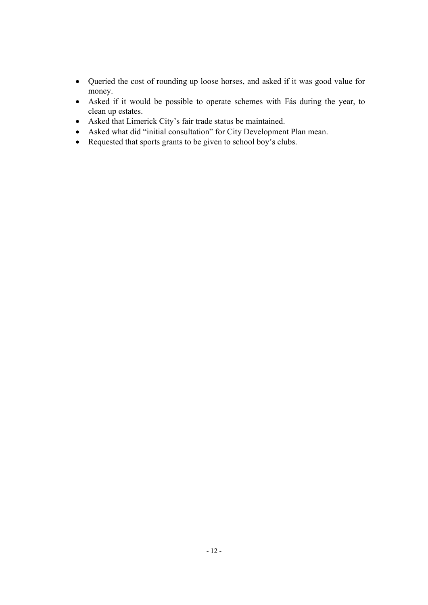- Queried the cost of rounding up loose horses, and asked if it was good value for money.
- Asked if it would be possible to operate schemes with Fás during the year, to clean up estates.
- Asked that Limerick City's fair trade status be maintained.
- Asked what did "initial consultation" for City Development Plan mean.
- Requested that sports grants to be given to school boy's clubs.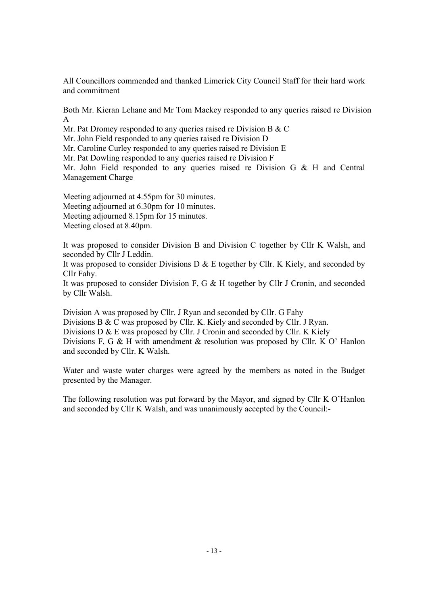All Councillors commended and thanked Limerick City Council Staff for their hard work and commitment

Both Mr. Kieran Lehane and Mr Tom Mackey responded to any queries raised re Division A

Mr. Pat Dromey responded to any queries raised re Division B & C

Mr. John Field responded to any queries raised re Division D

Mr. Caroline Curley responded to any queries raised re Division E

Mr. Pat Dowling responded to any queries raised re Division F

Mr. John Field responded to any queries raised re Division G & H and Central Management Charge

Meeting adjourned at 4.55pm for 30 minutes. Meeting adjourned at 6.30pm for 10 minutes. Meeting adjourned 8.15pm for 15 minutes. Meeting closed at 8.40pm.

It was proposed to consider Division B and Division C together by Cllr K Walsh, and seconded by Cllr J Leddin.

It was proposed to consider Divisions D  $\&$  E together by Cllr. K Kiely, and seconded by Cllr Fahy.

It was proposed to consider Division F, G & H together by Cllr J Cronin, and seconded by Cllr Walsh.

Division A was proposed by Cllr. J Ryan and seconded by Cllr. G Fahy Divisions B & C was proposed by Cllr. K. Kiely and seconded by Cllr. J Ryan. Divisions D & E was proposed by Cllr. J Cronin and seconded by Cllr. K Kiely Divisions F, G & H with amendment & resolution was proposed by Cllr. K O' Hanlon and seconded by Cllr. K Walsh.

Water and waste water charges were agreed by the members as noted in the Budget presented by the Manager.

The following resolution was put forward by the Mayor, and signed by Cllr K O'Hanlon and seconded by Cllr K Walsh, and was unanimously accepted by the Council:-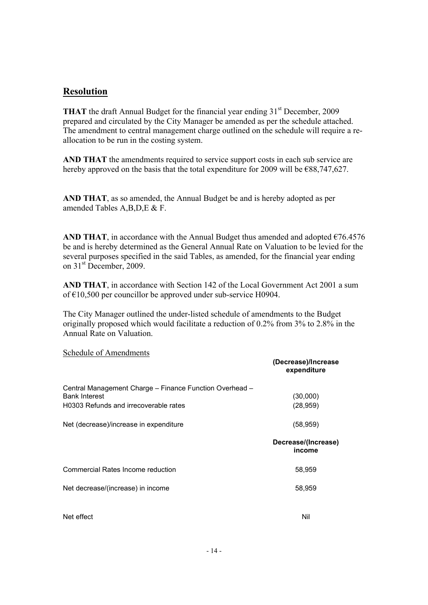# **Resolution**

**THAT** the draft Annual Budget for the financial year ending  $31<sup>st</sup>$  December, 2009 prepared and circulated by the City Manager be amended as per the schedule attached. The amendment to central management charge outlined on the schedule will require a reallocation to be run in the costing system.

**AND THAT** the amendments required to service support costs in each sub service are hereby approved on the basis that the total expenditure for 2009 will be  $\epsilon$ 88,747,627.

**AND THAT**, as so amended, the Annual Budget be and is hereby adopted as per amended Tables A,B,D,E & F.

**AND THAT**, in accordance with the Annual Budget thus amended and adopted  $\epsilon$ 76.4576 be and is hereby determined as the General Annual Rate on Valuation to be levied for the several purposes specified in the said Tables, as amended, for the financial year ending on 31<sup>st</sup> December, 2009.

**AND THAT**, in accordance with Section 142 of the Local Government Act 2001 a sum of €10,500 per councillor be approved under sub-service H0904.

The City Manager outlined the under-listed schedule of amendments to the Budget originally proposed which would facilitate a reduction of 0.2% from 3% to 2.8% in the Annual Rate on Valuation.

#### Schedule of Amendments

|                                                         | (Decrease)/Increase<br>expenditure |
|---------------------------------------------------------|------------------------------------|
| Central Management Charge - Finance Function Overhead - |                                    |
| <b>Bank Interest</b>                                    | (30,000)                           |
| H0303 Refunds and irrecoverable rates                   | (28, 959)                          |
| Net (decrease)/increase in expenditure                  | (58, 959)                          |
|                                                         | Decrease/(Increase)<br>income      |
| Commercial Rates Income reduction                       | 58,959                             |
| Net decrease/(increase) in income                       | 58,959                             |
| Net effect                                              | Nil                                |